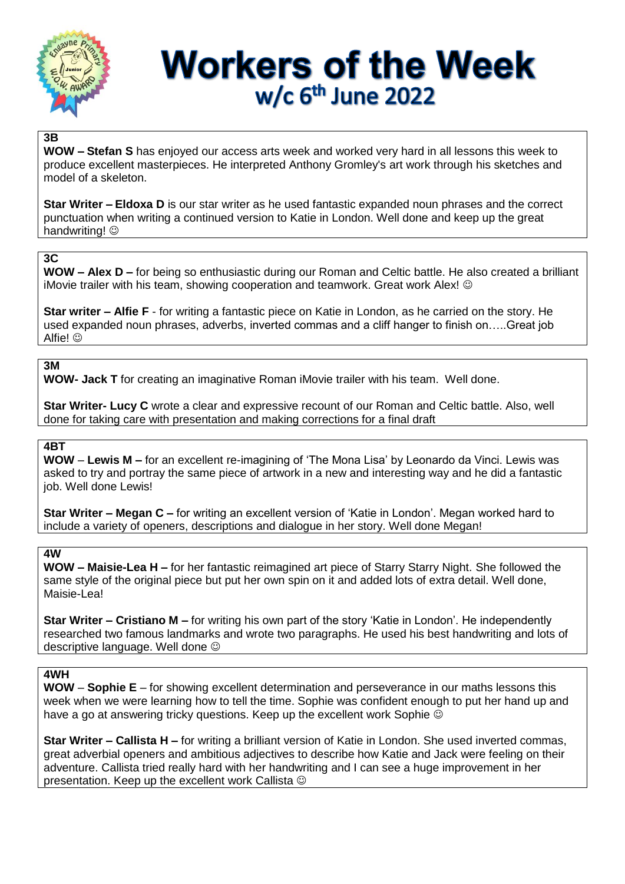

# **Workers of the Week**  $w/c$  6<sup>th</sup> June 2022

# **3B**

**WOW – Stefan S** has enjoyed our access arts week and worked very hard in all lessons this week to produce excellent masterpieces. He interpreted Anthony Gromley's art work through his sketches and model of a skeleton.

**Star Writer – Eldoxa D** is our star writer as he used fantastic expanded noun phrases and the correct punctuation when writing a continued version to Katie in London. Well done and keep up the great handwriting!  $\odot$ 

# **3C**

**WOW – Alex D –** for being so enthusiastic during our Roman and Celtic battle. He also created a brilliant iMovie trailer with his team, showing cooperation and teamwork. Great work Alex!

**Star writer – Alfie F** - for writing a fantastic piece on Katie in London, as he carried on the story. He used expanded noun phrases, adverbs, inverted commas and a cliff hanger to finish on…..Great job Alfie! ©

# **3M**

**WOW- Jack T** for creating an imaginative Roman iMovie trailer with his team. Well done.

**Star Writer- Lucy C** wrote a clear and expressive recount of our Roman and Celtic battle. Also, well done for taking care with presentation and making corrections for a final draft

# **4BT**

**WOW** – **Lewis M –** for an excellent re-imagining of 'The Mona Lisa' by Leonardo da Vinci. Lewis was asked to try and portray the same piece of artwork in a new and interesting way and he did a fantastic job. Well done Lewis!

**Star Writer – Megan C –** for writing an excellent version of 'Katie in London'. Megan worked hard to include a variety of openers, descriptions and dialogue in her story. Well done Megan!

# **4W**

**WOW – Maisie-Lea H –** for her fantastic reimagined art piece of Starry Starry Night. She followed the same style of the original piece but put her own spin on it and added lots of extra detail. Well done, Maisie-Lea!

**Star Writer – Cristiano M –** for writing his own part of the story 'Katie in London'. He independently researched two famous landmarks and wrote two paragraphs. He used his best handwriting and lots of descriptive language. Well done

#### **4WH**

**WOW** – **Sophie E** – for showing excellent determination and perseverance in our maths lessons this week when we were learning how to tell the time. Sophie was confident enough to put her hand up and have a go at answering tricky questions. Keep up the excellent work Sophie  $\odot$ 

**Star Writer – Callista H –** for writing a brilliant version of Katie in London. She used inverted commas, great adverbial openers and ambitious adjectives to describe how Katie and Jack were feeling on their adventure. Callista tried really hard with her handwriting and I can see a huge improvement in her presentation. Keep up the excellent work Callista